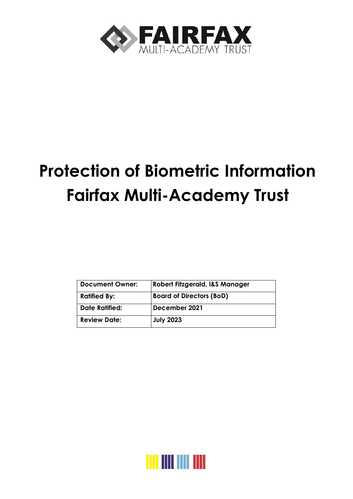

# **Protection of Biometric Information Fairfax Multi-Academy Trust**

| Robert Fitzgerald, I&S Manager  |
|---------------------------------|
| <b>Board of Directors (BoD)</b> |
|                                 |
| December 2021                   |
| <b>July 2023</b>                |
|                                 |

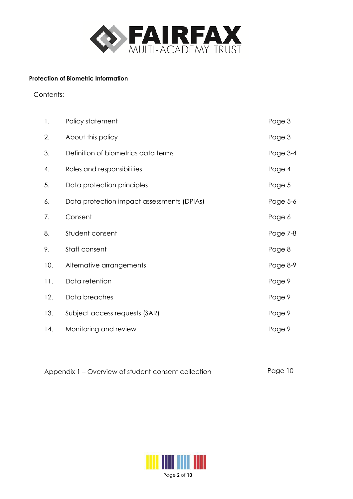

#### **Protection of Biometric Information**

Contents:

| 1.  | Policy statement                           | Page 3   |
|-----|--------------------------------------------|----------|
| 2.  | About this policy                          | Page 3   |
| 3.  | Definition of biometrics data terms        | Page 3-4 |
| 4.  | Roles and responsibilities                 | Page 4   |
| 5.  | Data protection principles                 | Page 5   |
| 6.  | Data protection impact assessments (DPIAs) | Page 5-6 |
| 7.  | Consent                                    | Page 6   |
| 8.  | Student consent                            | Page 7-8 |
| 9.  | Staff consent                              | Page 8   |
| 10. | Alternative arrangements                   | Page 8-9 |
| 11. | Data retention                             | Page 9   |
| 12. | Data breaches                              | Page 9   |
| 13. | Subject access requests (SAR)              | Page 9   |
| 14. | Monitoring and review                      | Page 9   |

Appendix 1 – Overview of student consent collection Page 10

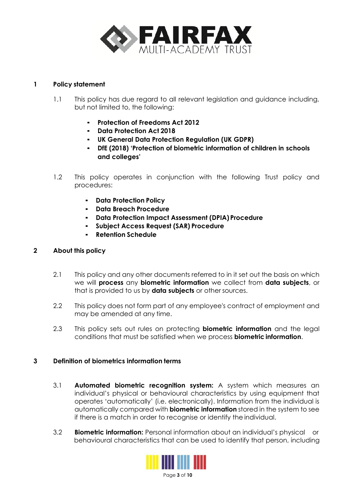

#### **1 Policy statement**

- 1.1 This policy has due regard to all relevant legislation and guidance including, but not limited to, the following:
	- **Protection of Freedoms Act 2012**
	- **Data Protection Act 2018**
	- **UK General Data Protection Regulation (UK GDPR)**
	- **DfE (2018) 'Protection of biometric information of children in schools and colleges'**
- 1.2 This policy operates in conjunction with the following Trust policy and procedures:
	- **Data Protection Policy**
	- **Data Breach Procedure**
	- **Data Protection Impact Assessment (DPIA) Procedure**
	- **Subject Access Request (SAR) Procedure**
	- **Retention Schedule**

# **2 About this policy**

- 2.1 This policy and any other documents referred to in it set out the basis on which we will **process** any **biometric information** we collect from **data subjects**, or that is provided to us by **data subjects** or other sources.
- 2.2 This policy does not form part of any employee's contract of employment and may be amended at any time.
- 2.3 This policy sets out rules on protecting **biometric information** and the legal conditions that must be satisfied when we process **biometric information**.

# **3 Definition of biometrics information terms**

- 3.1 **Automated biometric recognition system:** A system which measures an individual's physical or behavioural characteristics by using equipment that operates 'automatically' (i.e. electronically). Information from the individual is automatically compared with **biometric information** stored in the system to see if there is a match in order to recognise or identify the individual.
- 3.2 **Biometric information:** Personal information about an individual's physical or behavioural characteristics that can be used to identify that person, including

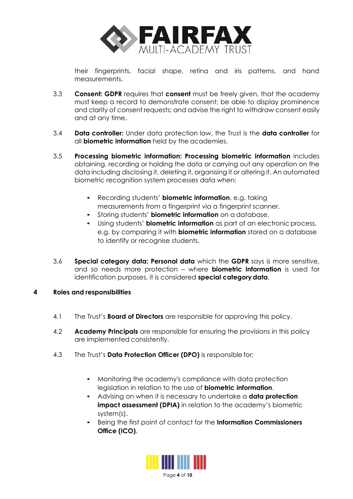

their fingerprints, facial shape, retina and iris patterns, and hand measurements.

- 3.3 **Consent: GDPR** requires that **consent** must be freely given, that the academy must keep a record to demonstrate consent; be able to display prominence and clarity of consent requests; and advise the right to withdraw consent easily and at any time.
- 3.4 **Data controller:** Under data protection law, the Trust is the **data controller** for all **biometric information** held by the academies.
- 3.5 **Processing biometric information: Processing biometric information** includes obtaining, recording or holding the data or carrying out any operation on the data including disclosing it, deleting it, organising it or altering it. An automated biometric recognition system processes data when:
	- Recording students' **biometric information**, e.g. taking measurements from a fingerprint via a fingerprint scanner.
	- Storing students' **biometric information** on a database.
	- Using students' **biometric information** as part of an electronic process, e.g. by comparing it with **biometric information** stored on a database to identify or recognise students.
- 3.6 **Special category data: Personal data** which the **GDPR** says is more sensitive, and so needs more protection – where **biometric information** is used for identification purposes, it is considered **special category data**.

# **4 Roles and responsibilities**

- 4.1 The Trust's **Board of Directors** are responsible for approving this policy.
- 4.2 **Academy Principals** are responsible for ensuring the provisions in this policy are implemented consistently.
- 4.3 The Trust's **Data Protection Officer (DPO)** is responsible for;
	- Monitoring the academy's compliance with data protection legislation in relation to the use of **biometric information**.
	- Advising on when it is necessary to undertake a **data protection impact assessment (DPIA)** in relation to the academy's biometric system(s).
	- Being the first point of contact for the **Information Commissioners Office (ICO)**.

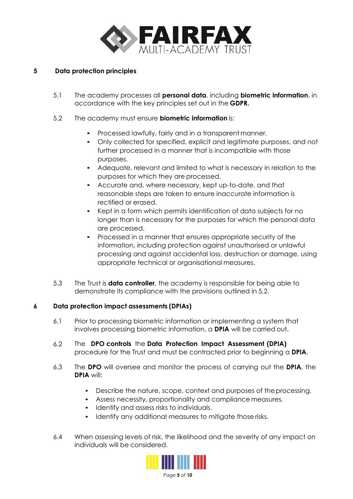

# **5 Data protection principles**

- 5.1 The academy processes all **personal data**, including **biometric information**, in accordance with the key principles set out in the **GDPR.**
- 5.2 The academy must ensure **biometric information** is:
	- Processed lawfully, fairly and in a transparent manner.
	- Only collected for specified, explicit and legitimate purposes, and not further processed in a manner that is incompatible with those purposes.
	- Adequate, relevant and limited to what is necessary in relation to the purposes for which they are processed.
	- Accurate and, where necessary, kept up-to-date, and that reasonable steps are taken to ensure inaccurate information is rectified or erased.
	- Kept in a form which permits identification of data subjects for no longer than is necessary for the purposes for which the personal data are processed.
	- Processed in a manner that ensures appropriate security of the information, including protection against unauthorised or unlawful processing and against accidental loss, destruction or damage, using appropriate technical or organisational measures.
- 5.3 The Trust is **data controller**, the academy is responsible for being able to demonstrate its compliance with the provisions outlined in 5.2.

# **6 Data protection impact assessments (DPIAs)**

- 6.1 Prior to processing biometric information or implementing a system that involves processing biometric information, a **DPIA** will be carried out.
- 6.2 The **DPO controls** the **Data Protection Impact Assessment (DPIA)** procedure for the Trust and must be contracted prior to beginning a **DPIA**.
- 6.3 The **DPO** will oversee and monitor the process of carrying out the **DPIA**, the **DPIA** will:
	- Describe the nature, scope, context and purposes of theprocessing.
	- Assess necessity, proportionality and compliance measures.
	- Identify and assess risks to individuals.
	- Identify any additional measures to mitigate those risks.
- 6.4 When assessing levels of risk, the likelihood and the severity of any impact on individuals will be considered.

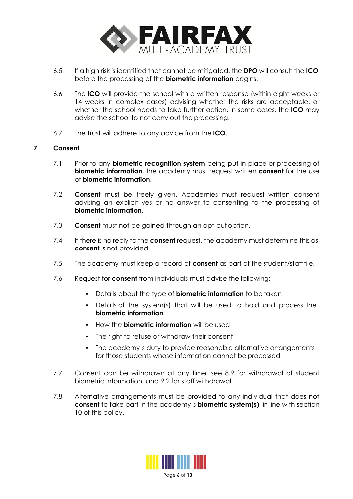

- 6.5 If a high risk is identified that cannot be mitigated, the **DPO** will consult the **ICO** before the processing of the **biometric information** begins.
- 6.6 The **ICO** will provide the school with a written response (within eight weeks or 14 weeks in complex cases) advising whether the risks are acceptable, or whether the school needs to take further action. In some cases, the **ICO** may advise the school to not carry out the processing.
- 6.7 The Trust will adhere to any advice from the **ICO**.

# **7 Consent**

- 7.1 Prior to any **biometric recognition system** being put in place or processing of **biometric information**, the academy must request written **consent** for the use of **biometric information**.
- 7.2 **Consent** must be freely given. Academies must request written consent advising an explicit yes or no answer to consenting to the processing of **biometric information**.
- 7.3 **Consent** must not be gained through an opt-out option.
- 7.4 If there is no reply to the **consent** request, the academy must determine this as **consent** is not provided.
- 7.5 The academy must keep a record of **consent** as part of the student/stafffile.
- 7.6 Request for **consent** from individuals must advise the following:
	- Details about the type of **biometric information** to be taken
	- Details of the system(s) that will be used to hold and process the **biometric information**
	- How the **biometric information** will be used
	- The right to refuse or withdraw their consent
	- The academy's duty to provide reasonable alternative arrangements for those students whose information cannot be processed
- 7.7 Consent can be withdrawn at any time, see 8.9 for withdrawal of student biometric information, and 9.2 for staff withdrawal.
- 7.8 Alternative arrangements must be provided to any individual that does not **consent** to take part in the academy's **biometric system(s)**, in line with section 10 of this policy.

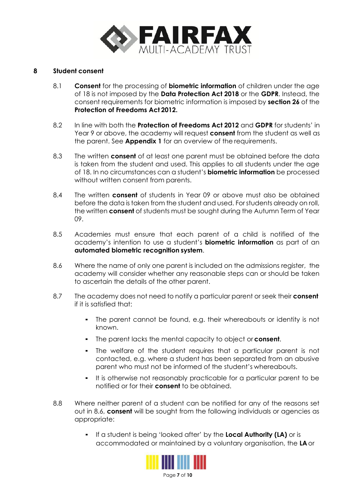

#### **8 Student consent**

- 8.1 **Consent** for the processing of **biometric information** of children under the age of 18 is not imposed by the **Data Protection Act 2018** or the **GDPR**. Instead, the consent requirements for biometric information is imposed by **section 26** of the **Protection of Freedoms Act 2012.**
- 8.2 In line with both the **Protection of Freedoms Act 2012** and **GDPR** for students' in Year 9 or above, the academy will request **consent** from the student as well as the parent. See **Appendix 1** for an overview of the requirements.
- 8.3 The written **consent** of at least one parent must be obtained before the data is taken from the student and used. This applies to all students under the age of 18. In no circumstances can a student's **biometric information** be processed without written consent from parents.
- 8.4 The written **consent** of students in Year 09 or above must also be obtained before the data is taken from the student and used. Forstudents already on roll, the written **consent** of students must be sought during the Autumn Term of Year 09.
- 8.5 Academies must ensure that each parent of a child is notified of the academy's intention to use a student's **biometric information** as part of an **automated biometric recognition system**.
- 8.6 Where the name of only one parent is included on the admissions register, the academy will consider whether any reasonable steps can or should be taken to ascertain the details of the other parent.
- 8.7 The academy does not need to notify a particular parent or seek their **consent** if it is satisfied that:
	- The parent cannot be found, e.g. their whereabouts or identity is not known.
	- The parent lacks the mental capacity to object or **consent**.
	- The welfare of the student requires that a particular parent is not contacted, e.g. where a student has been separated from an abusive parent who must not be informed of the student's whereabouts.
	- It is otherwise not reasonably practicable for a particular parent to be notified or for their **consent** to be obtained.
- 8.8 Where neither parent of a student can be notified for any of the reasons set out in 8.6, **consent** will be sought from the following individuals or agencies as appropriate:
	- If a student is being 'looked after' by the **Local Authority (LA)** or is accommodated or maintained by a voluntary organisation, the **LA** or

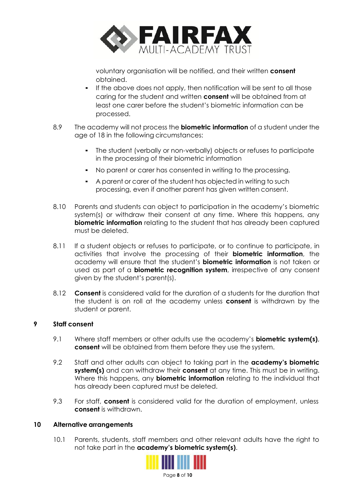

voluntary organisation will be notified, and their written **consent** obtained.

- If the above does not apply, then notification will be sent to all those caring for the student and written **consent** will be obtained from at least one carer before the student's biometric information can be processed.
- 8.9 The academy will not process the **biometric information** of a student under the age of 18 in the following circumstances:
	- The student (verbally or non-verbally) objects or refuses to participate in the processing of their biometric information
	- No parent or carer has consented in writing to the processing.
	- A parent or carer of the student has objected in writing to such processing, even if another parent has given written consent.
- 8.10 Parents and students can object to participation in the academy's biometric system(s) or withdraw their consent at any time. Where this happens, any **biometric information** relating to the student that has already been captured must be deleted.
- 8.11 If a student objects or refuses to participate, or to continue to participate, in activities that involve the processing of their **biometric information**, the academy will ensure that the student's **biometric information** is not taken or used as part of a **biometric recognition system**, irrespective of any consent given by the student's parent(s).
- 8.12 **Consent** is considered valid for the duration of a students for the duration that the student is on roll at the academy unless **consent** is withdrawn by the student or parent.

# **9 Staff consent**

- 9.1 Where staff members or other adults use the academy's **biometric system(s)**, **consent** will be obtained from them before they use the system.
- 9.2 Staff and other adults can object to taking part in the **academy's biometric system(s)** and can withdraw their **consent** at any time. This must be in writing. Where this happens, any **biometric information** relating to the individual that has already been captured must be deleted.
- 9.3 For staff, **consent** is considered valid for the duration of employment, unless **consent** is withdrawn.

# **10 Alternative arrangements**

10.1 Parents, students, staff members and other relevant adults have the right to not take part in the **academy's biometric system(s)**.

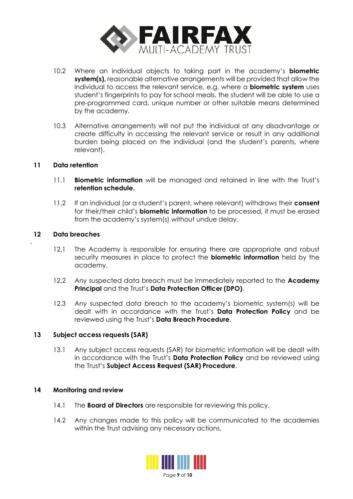

- 10.2 Where an individual objects to taking part in the academy's **biometric system(s),** reasonable alternative arrangements will be provided that allow the individual to access the relevant service, e.g. where a **biometric system** uses student's fingerprints to pay for school meals, the student will be able to use a pre-programmed card, unique number or other suitable means determined by the academy.
- 10.3 Alternative arrangements will not put the individual at any disadvantage or create difficulty in accessing the relevant service or result in any additional burden being placed on the individual (and the student's parents, where relevant).

#### **11 Data retention**

- 11.1 **Biometric information** will be managed and retained in line with the Trust's **retention schedule.**
- 11.2 If an individual (or a student's parent, where relevant) withdraws their **consent** for their/their child's **biometric information** to be processed, it must be erased from the academy's system(s) without undue delay.

#### **12 Data breaches**

**.**

- 12.1 The Academy is responsible for ensuring there are appropriate and robust security measures in place to protect the **biometric information** held by the academy.
- 12.2 Any suspected data breach must be immediately reported to the **Academy Principal** and the Trust's **Data Protection Officer (DPO)**.
- 12.3 Any suspected data breach to the academy's biometric system(s) will be dealt with in accordance with the Trust's **Data Protection Policy** and be reviewed using the Trust's **Data Breach Procedure**.

#### **13 Subject access requests (SAR)**

13.1 Any subject access requests (SAR) for biometric information will be dealt with in accordance with the Trust's **Data Protection Policy** and be reviewed using the Trust's **Subject Access Request (SAR) Procedure**.

#### **14 Monitoring and review**

- 14.1 The **Board of Directors** are responsible for reviewing this policy.
- 14.2 Any changes made to this policy will be communicated to the academies within the Trust advising any necessary actions.